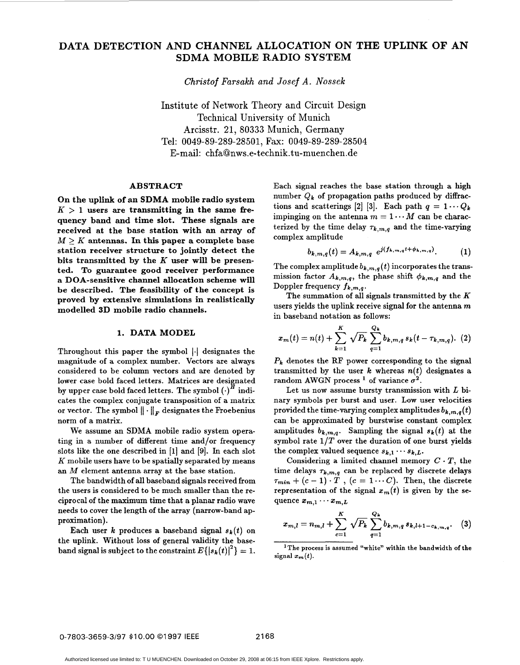# **DATA DETECTION AND CHANNEL ALLOCATION ON THE UPLINK OF AN SDMA MOBILE RADIO SYSTEM**

*Christof Farsakh and Josef A. Nossek* 

Institute of Network Theory and Circuit Design Technical University of Munich Arcisstr. 21, 80333 Munich, Germany Tel: 0049-89-289-28501, Fax: 0049-89-289-28504 E-mail: **[chfa62nws.e-technik-tu-muenchen.d](http://chfa62nws.e-technik-tu-muenchen.de)e** 

# **ABSTRACT**

**On the uplink of an SDMA mobile radio system**   $K > 1$  users are transmitting in the same fre**quency band and time slot. These signals are received at the base station with an array of**   $M > K$  antennas. In this paper a complete base **station receiver structure to jointly detect the bits transmitted by the** *K* **user will be presented. To guarantee good receiver performance a DOA-sensitive channel allocation scheme will be described. The feasibility of the concept is proved by extensive simulations in realistically modelled 3D mobile radio channels.** 

## 1. DATA MODEL

Throughout this paper the symbol  $|\cdot|$  designates the magnitude of a complex number. Vectors are always considered to be column vectors and are denoted by lower case bold faced letters. Matrices are designated hower case bold faced letters. Matrices are designated by upper case bold faced letters. The symbol  $\left(\cdot\right)^H$  indicates the complex conjugate transposition of a matrix or vector. The symbol  $\|\cdot\|_F$  designates the Froebenius norm of a matrix.

We assume an SDMA mobile radio system operating in a number of different time and/or frequency slots like the one described in [l] and [9]. In each slot *K* mobile users have to be spatially separated by means an M element antenna array at the base station.

The bandwidth of all baseband signals received from the users is considered to be much smaller than the reciprocal of the maximum time that a planar radio wave needs to cover the length of the array (narrow-band approximation).

Each user *k* produces a baseband signal  $s_k(t)$  on the uplink. Without loss of general validity the baseband signal is subject to the constraint  $E\{|s_k(t)|^2\} = 1$ . Each signal reaches the base station through a high number  $Q_k$  of propagation paths produced by diffractions and scatterings [2] [3]. Each path  $q = 1 \cdots Q_k$ impinging on the antenna  $m = 1 \cdots M$  can be characterized by the time delay  $\tau_{k,m,q}$  and the time-varying complex amplitude

$$
b_{k,m,q}(t) = A_{k,m,q} e^{j(f_{k,m,q}t + \phi_{k,m,q})}.
$$
 (1)

The complex amplitude  $b_{k,m,q}(t)$  incorporates the transmission factor  $A_{k,m,q}$ , the phase shift  $\phi_{k,m,q}$  and the Doppler frequency *fk,m,q.* 

The summation of all signals transmitted by the *K*  users yields the uplink receive signal for the antenna  $m$ in baseband notation as follows:

$$
x_m(t) = n(t) + \sum_{k=1}^K \sqrt{P_k} \sum_{q=1}^{Q_k} b_{k,m,q} s_k(t - \tau_{k,m,q}). \tag{2}
$$

*Pk* denotes the **RF** power corresponding to the signal transmitted by the user  $k$  whereas  $n(t)$  designates a random AWGN process <sup>1</sup> of variance  $\sigma^2$ .

Let us now assume bursty transmission with  $L$  binary symbols per burst and user. Low user velocities provided the time-varying complex amplitudes  $b_{k,m,q}(t)$ can be approximated by burstwise constant complex amplitudes  $b_{k,m,q}$ . Sampling the signal  $s_k(t)$  at the symbol rate  $1/T$  over the duration of one burst yields the complex valued sequence  $s_{k,1} \cdots s_{k,L}$ .

Considering a limited channel memory  $C \cdot T$ , the time delays  $\tau_{k,m,q}$  can be replaced by discrete delays  $\tau_{min} + (c-1) \cdot \overline{T}$ ,  $(c = 1 \cdots C)$ . Then, the discrete representation of the signal  $x_m(t)$  is given by the sequence  $x_{m,1} \cdots x_{m,L}$ 

$$
x_{m,l} = n_{m,l} + \sum_{c=1}^{K} \sqrt{P_k} \sum_{q=1}^{Q_k} b_{k,m,q} s_{k,l+1-c_{k,m,q}}.
$$
 (3)

**'The process is assumed "white" within the bandwidth of the**  signal  $x_m(t)$ .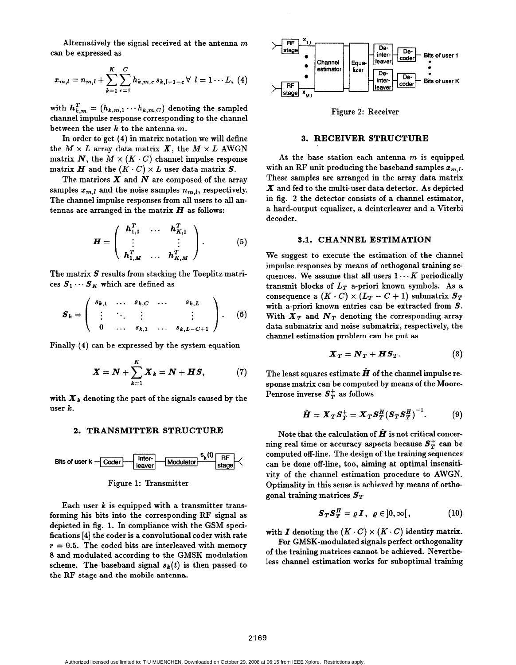Alternatively the signal received at the antenna *m*  can be expressed as

$$
x_{m,l} = n_{m,l} + \sum_{k=1}^{K} \sum_{c=1}^{C} h_{k,m,c} s_{k,l+1-c} \forall l = 1 \cdots L, (4)
$$

with  $\mathbf{h}_{k,m}^T = (h_{k,m,1} \cdots h_{k,m,C})$  denoting the sampled channel impulse response corresponding to the channel between the user *k* to the antenna m.

In order to get (4) in matrix notation we will define the  $M \times L$  array data matrix  $\boldsymbol{X}$ , the  $M \times L$  AWGN matrix N, the  $M \times (K \cdot C)$  channel impulse response matrix  $H$  and the  $(K \cdot C) \times L$  user data matrix  $S$ .

The matrices *X* and *N* are composed of the array samples  $x_{m,l}$  and the noise samples  $n_{m,l}$ , respectively. The channel impulse responses from all users to all antennas are arranged in the matrix  $H$  as follows:

$$
\boldsymbol{H} = \left( \begin{array}{ccc} \boldsymbol{h}_{1,1}^T & \dots & \boldsymbol{h}_{K,1}^T \\ \vdots & & \vdots \\ \boldsymbol{h}_{1,M}^T & \dots & \boldsymbol{h}_{K,M}^T \end{array} \right). \tag{5}
$$

The matrix *S* results from stacking the Toeplitz matrices  $S_1 \cdots S_K$  which are defined as

$$
\boldsymbol{S}_k = \left( \begin{array}{cccc} s_{k,1} & \ldots & s_{k,C} & \ldots & s_{k,L} \\ \vdots & \ddots & \vdots & & \vdots \\ 0 & \ldots & s_{k,1} & \ldots & s_{k,L-C+1} \end{array} \right). \qquad (6)
$$

Finally **(4)** can be expressed by the system equation

$$
\boldsymbol{X} = \boldsymbol{N} + \sum_{k=1}^{K} \boldsymbol{X}_k = \boldsymbol{N} + \boldsymbol{H}\boldsymbol{S}, \qquad (7)
$$

with  $\boldsymbol{X}_k$  denoting the part of the signals caused by the user  $k$ .

# **2. TRANSMITTER STRUCTURE**





Each user *k* is equipped with a transmitter transforming his bits into the corresponding RF signal as depicted in fig. 1. In compliance with the GSM specifications **[4]** the coder is a convolutional coder with rate  $r = 0.5$ . The coded bits are interleaved with memory *8* and modulated according to the GMSK modulation scheme. The baseband signal  $s_k(t)$  is then passed to the RF stage and the mobile antenna.



Figure 2: Receiver

## **3. RECEIVER STRUCTURE**

At the base station each antenna  $m$  is equipped with an RF unit producing the baseband samples  $x_{m,l}$ . These samples are arranged in the array data matrix *X* and fed to the multi-user data detector. As depicted in fig. 2 the detector consists of a channel estimator, a hard-output equalizer, a deinterleaver and a Viterbi decoder.

# **3.1. CHANNEL ESTIMATION**

We suggest to execute the estimation of the channel impulse responses by means of orthogonal training sequences. We assume that all users  $1 \cdots K$  periodically transmit blocks of  $L_T$  a-priori known symbols. As a consequence a  $(K \cdot C) \times (L_T - C + 1)$  submatrix  $S_T$ with a-priori known entries can be extracted from *S.*  With  $\boldsymbol{X}_T$  and  $\boldsymbol{N}_T$  denoting the corresponding array data submatrix and noise submatrix, respectively, the channel estimation problem can be put as

$$
\boldsymbol{X}_T = \boldsymbol{N}_T + \boldsymbol{H}\boldsymbol{S}_T. \tag{8}
$$

The least squares estimate  $\hat{H}$  of the channel impulse response matrix can be computed by means of the Moore-Penrose inverse  $S_T^+$  as follows

$$
\hat{\boldsymbol{H}} = \boldsymbol{X}_T \boldsymbol{S}_T^+ = \boldsymbol{X}_T \boldsymbol{S}_T^H (\boldsymbol{S}_T \boldsymbol{S}_T^H)^{-1}.
$$
 (9)

Note that the calculation of  $\hat{H}$  is not critical concerning real time or accuracy aspects because  $S_T^+$  can be computed off-line. The design of the training sequences can be done off-line, too, aiming at optimal insensitivity of the channel estimation procedure to AWGN. Optimality in this sense is achieved by means of orthogonal training matrices *ST* 

$$
\boldsymbol{S}_T \boldsymbol{S}_T^H = \varrho \, \boldsymbol{I} \,, \ \ \varrho \in \,]0,\infty[\,, \tag{10}
$$

with I denoting the  $(K \cdot C) \times (K \cdot C)$  identity matrix.

For GMSK-modulated signals perfect orthogonality of the training matrices cannot be achieved. Nevertheless channel estimation works for suboptimal training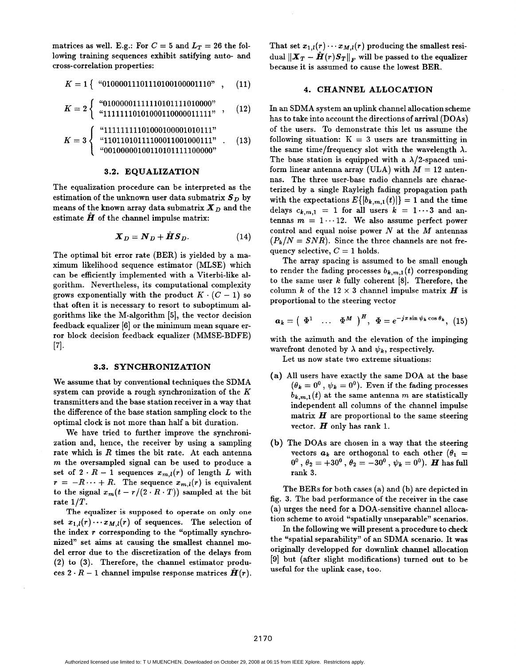matrices as well. E.g.: For  $C = 5$  and  $L_T = 26$  the following training sequences exhibit satifying auto- and cross-correlation properties:

$$
K = 1 \left\{ \begin{array}{c} \text{``01000011101110100100001110''} \\ \text{0.111011000001110''} \end{array} \right., \quad (11)
$$

$$
K=2\left\{\begin{array}{ll} ``01000001111110101111010000"\\ ``11111110101000110000011111" \end{array}\right.,\quad (12)
$$

$$
K = 3 \left\{ \begin{array}{ll} \text{``}11111111101000100001010111" \\ \text{``}11011010111100011001000111" \\ \text{``}00100000100110101111100000" \end{array} \right. \tag{13}
$$

#### **3.2. EQUALIZATION**

The equalization procedure can be interpreted as the estimation of the unknown user data submatrix  $S_D$  by means of the known array data submatrix  $\boldsymbol{X}_D$  and the estimate  $\hat{H}$  of the channel impulse matrix:

$$
\boldsymbol{X}_D = \boldsymbol{N}_D + \hat{\boldsymbol{H}} \boldsymbol{S}_D. \tag{14}
$$

The optimal bit error rate (BER) is yielded by a maximum likelihood sequence estimator (MLSE) which can be efficiently implemented with a Viterbi-like algorithm. Nevertheless, its computational complexity grows exponentially with the product  $K \cdot (C - 1)$  so that often it is necessary to resort to suboptimum algorithms like the M-algorithm *[5],* the vector decision feedback equalizer [6] or the minimum mean square error block decision feedback equalizer (MMSE-BDFE) [71.

#### **3.3. SYNCHRONIZATION**

We assume that by conventional techniques the SDMA system can provide a rough synchronization of the  $K$ transmitters and the base station receiver in a way that the difference of the base station sampling clock to the optimal clock is not more than half a bit duration.

We have tried to further improve the synchronization and, hence, the receiver by using a sampling rate which is  $R$  times the bit rate. At each antenna  $m$  the oversampled signal can be used to produce a set of  $2 \cdot R - 1$  sequences  $x_{m,l}(r)$  of length L with  $r = -R \cdots + R$ . The sequence  $x_{m,l}(r)$  is equivalent to the signal  $x_m(t - r/(2 \cdot R \cdot T))$  sampled at the bit rate  $1/T$ .

**The equalizer is supposed to operate on only one**  set  $x_{1,l}(r) \cdots x_{M,l}(r)$  of sequences. The selection of the index  $r$  corresponding to the "optimally synchronized" set aims at causing the smallest channel model error due to the discretization of the delays from (2) to (3). Therefore, the channel estimator produces  $2 \cdot R - 1$  channel impulse response matrices  $\hat{H}(r)$ . That set  $x_{1,l}(r) \cdots x_{M,l}(r)$  producing the smallest residual  $\|\boldsymbol{X}_T - \hat{\boldsymbol{H}}(r)\boldsymbol{S}_T\|_F$  will be passed to the equalizer because it is assumed to cause the lowest BER.

## **4. CHANNEL ALLOCATION**

In an SDMA system an uplink channel allocation scheme has to take into account the directions of arrival (DOAs) of the users. To demonstrate this let us assume the following situation:  $K = 3$  users are transmitting in the same time/frequency slot with the wavelength  $\lambda$ . The base station is equipped with a  $\lambda/2$ -spaced uniform linear antenna array (ULA) with  $M = 12$  antennas. The three user-base radio channels are characterized by a single Rayleigh fading propagation path with the expectations  $E\{|b_{k,m,1}(t)|\} = 1$  and the time delays  $c_{k,m,1} = 1$  for all users  $k = 1 \cdots 3$  and antennas  $m = 1 \cdots 12$ . We also assume perfect power control and equal noise power *N* at the *M* antennas  $(P_k/N = SNR)$ . Since the three channels are not frequency selective,  $C = 1$  holds.

The array spacing is assumed to be small enough to render the fading processes  $b_{k,m,1}(t)$  corresponding to the same user  $k$  fully coherent  $[8]$ . Therefore, the column k of the  $12 \times 3$  channel impulse matrix *H* is proportional to the steering vector

$$
a_k = \left(\begin{array}{ccc} \Phi^1 & \ldots & \Phi^M \end{array}\right)^H, \ \Phi = e^{-j\pi \sin \psi_k \cos \theta_k}, \ (15)
$$

with the azimuth and the elevation of the impinging wavefront denoted by  $\lambda$  and  $\psi_k$ , respectively.

Let us now state two extreme situations:

- **(a)** All users have exactly the same DOA at the base  $(\theta_k = 0^0, \psi_k = 0^0)$ . Even if the fading processes  $b_{k,m,1}(t)$  at the same antenna *m* are statistically independent all columns of the channel impulse matrix  $H$  are proportional to the same steering vector.  $H$  only has rank 1.
- **(b)** The DOAs are chosen in a way that the steering vectors  $a_k$  are orthogonal to each other  $(\theta_1 =$ rank 3.  $0^0$ ,  $\theta_2 = +30^0$ ,  $\theta_2 = -30^0$ ,  $\psi_k = 0^0$ ). *H* has full

The BERs for both cases (a) and (b) are depicted in fig. 3. The bad performance of the receiver in the case (a) urges the need for a DOA-sensitive channel allocation scheme to avoid "spatially unseparable" scenarios.

In the following we will present a procedure to check the "spatial separability" of an SDMA scenario. It was originally developped for downlink channel allocation **[9]** but (after slight modifications) turned out to be useful for the uplink case, too.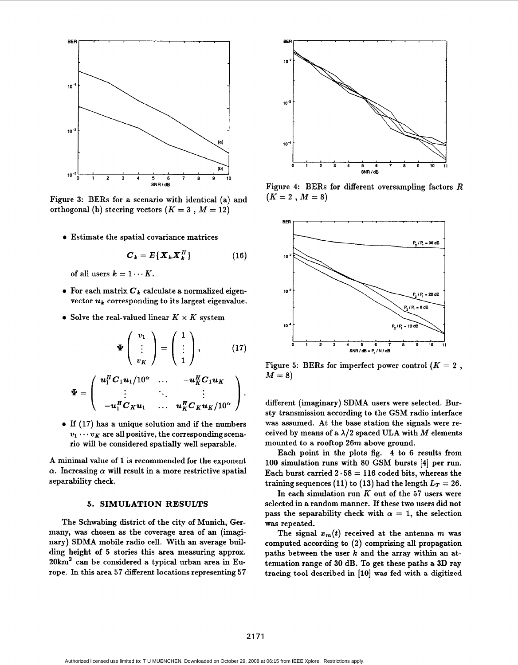

Figure **3:** BERs for a scenario with identical (a) and orthogonal (b) steering vectors  $(K = 3, M = 12)$ 

*0* Estimate the spatial covariance matrices

$$
\boldsymbol{C}_k = E\{\boldsymbol{X}_k \boldsymbol{X}_k^H\} \tag{16}
$$

of all users  $k = 1 \cdots K$ .

- $\bullet$  For each matrix  $C_k$  calculate a normalized eigenvector  $\boldsymbol{u}_k$  corresponding to its largest eigenvalue.
- Solve the real-valued linear  $K \times K$  system

$$
\Psi\left(\begin{array}{c}v_1\\ \vdots\\ v_K\end{array}\right)=\left(\begin{array}{c}1\\ \vdots\\ 1\end{array}\right),\qquad(17)
$$

$$
\Psi = \left( \begin{array}{cccc} \boldsymbol{u}_1^H \boldsymbol{C}_1 \boldsymbol{u}_1 / 10^\alpha & \dots & - \boldsymbol{u}_K^H \boldsymbol{C}_1 \boldsymbol{u}_K \\ \vdots & \ddots & \vdots \\ - \boldsymbol{u}_1^H \boldsymbol{C}_K \boldsymbol{u}_1 & \dots & \boldsymbol{u}_K^H \boldsymbol{C}_K \boldsymbol{u}_K / 10^\alpha \end{array} \right).
$$

*<sup>0</sup>*If **(17)** has a unique solution and if the numbers  $v_1 \cdots v_K$  are all positive, the corresponding scenario will be considered spatially well separable.

A minimal value of **1** is recommended for the exponent  $\alpha$ . Increasing  $\alpha$  will result in a more restrictive spatial separability check.

# **5. SIMULATION RESULTS**

The Schwabing district of the city of Munich, Germany, was chosen as the coverage area of an (imaginary) SDMA mobile radio cell. With an average building height of *5* stories this area measuring approx. 20km2 can be considered a typical urban area in Europe. In this area **57** different locations representing **57** 



Figure **4:** BERs for different oversampling factors **R**   $(K = 2, M = 8)$ 



Figure 5: BERs for imperfect power control  $(K = 2)$ ,  $M = 8$ 

different (imaginary) SDMA users were selected. Bursty transmission according to the GSM radio interface was assumed. At the base station the signals were received by means of a  $\lambda/2$  spaced ULA with M elements mounted to a rooftop **26m** above ground.

Each point in the plots fig. 4 to 6 results from **100** simulation runs with 80 GSM bursts **[4]** per run. Each burst carried  $2 \cdot 58 = 116$  coded bits, whereas the training sequences (11) to (13) had the length  $L_T = 26$ .

In each simulation run K out of the **57** users were selected in a random manner. If these two users did not pass the separability check with  $\alpha = 1$ , the selection was repeated.

The signal  $x_m(t)$  received at the antenna *m* was computed according to **(2)** comprising all propagation paths between the user *k* and the array within an attenuation range of *30* dB. To get these paths a 3D ray tracing tool described in **[lo]** was fed with a digitized